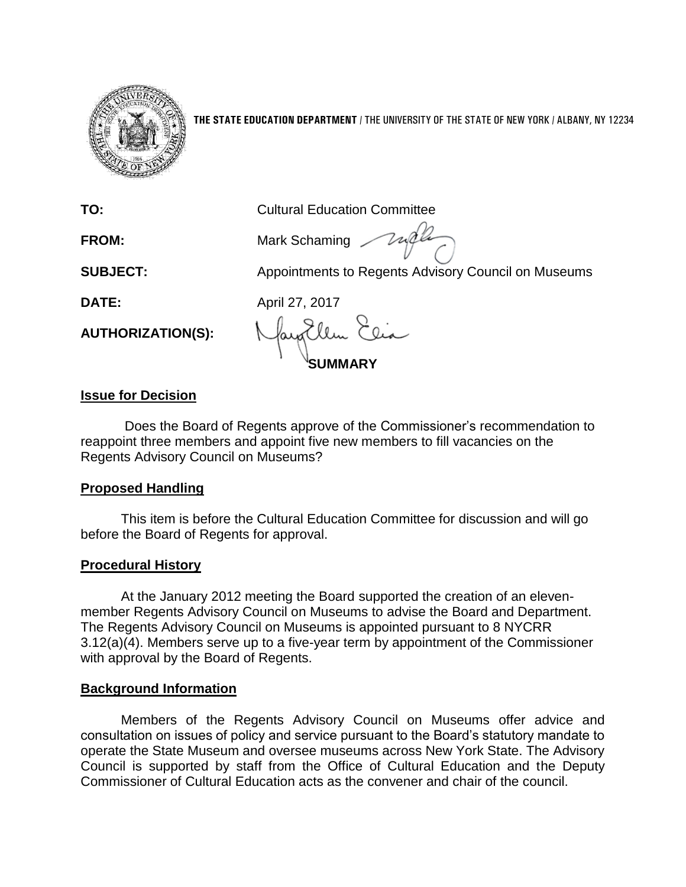

**THE STATE EDUCATION DEPARTMENT** / THE UNIVERSITY OF THE STATE OF NEW YORK / ALBANY, NY 12234

**TO:** Cultural Education Committee

**FROM:** Mark Schaming

**SUBJECT:** Appointments to Regents Advisory Council on Museums

**DATE:** April 27, 2017

**AUTHORIZATION(S):**

**SUMMARY**

# **Issue for Decision**

Does the Board of Regents approve of the Commissioner's recommendation to reappoint three members and appoint five new members to fill vacancies on the Regents Advisory Council on Museums?

### **Proposed Handling**

This item is before the Cultural Education Committee for discussion and will go before the Board of Regents for approval.

# **Procedural History**

At the January 2012 meeting the Board supported the creation of an elevenmember Regents Advisory Council on Museums to advise the Board and Department. The Regents Advisory Council on Museums is appointed pursuant to 8 NYCRR 3.12(a)(4). Members serve up to a five-year term by appointment of the Commissioner with approval by the Board of Regents.

### **Background Information**

Members of the Regents Advisory Council on Museums offer advice and consultation on issues of policy and service pursuant to the Board's statutory mandate to operate the State Museum and oversee museums across New York State. The Advisory Council is supported by staff from the Office of Cultural Education and the Deputy Commissioner of Cultural Education acts as the convener and chair of the council.